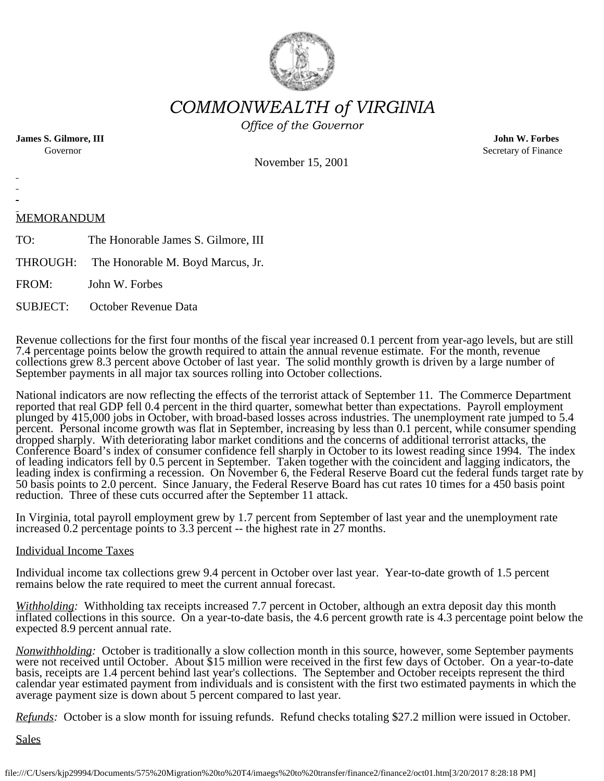

*COMMONWEALTH of VIRGINIA*

*Office of the Governor*

**James S. Gilmore, III John W. Forbes**

Governor Secretary of Finance Secretary of Finance

November 15, 2001

# MEMORANDUM

TO: The Honorable James S. Gilmore, III

THROUGH: The Honorable M. Boyd Marcus, Jr.

FROM: John W. Forbes

SUBJECT: October Revenue Data

Revenue collections for the first four months of the fiscal year increased 0.1 percent from year-ago levels, but are still 7.4 percentage points below the growth required to attain the annual revenue estimate. For the month, revenue collections grew 8.3 percent above October of last year. The solid monthly growth is driven by a large number of September payments in all major tax sources rolling into October collections.

National indicators are now reflecting the effects of the terrorist attack of September 11. The Commerce Department reported that real GDP fell 0.4 percent in the third quarter, somewhat better than expectations. Payroll employment plunged by 415,000 jobs in October, with broad-based losses across industries. The unemployment rate jumped to 5.4 percent. Personal income growth was flat in September, increasing by less than 0.1 percent, while consumer spending dropped sharply. With deteriorating labor market conditions and the concerns of additional terrorist attacks, the Conference Board's index of consumer confidence fell sharply in October to its lowest reading since 1994. The index of leading indicators fell by 0.5 percent in September. Taken together with the coincident and lagging indicators, the leading index is confirming a recession. On November 6, the Federal Reserve Board cut the federal funds target rate by 50 basis points to 2.0 percent. Since January, the Federal Reserve Board has cut rates 10 times for a 450 basis point reduction. Three of these cuts occurred after the September 11 attack.

In Virginia, total payroll employment grew by 1.7 percent from September of last year and the unemployment rate increased 0.2 percentage points to 3.3 percent -- the highest rate in 27 months.

# Individual Income Taxes

Individual income tax collections grew 9.4 percent in October over last year. Year-to-date growth of 1.5 percent remains below the rate required to meet the current annual forecast.

*Withholding:* Withholding tax receipts increased 7.7 percent in October, although an extra deposit day this month inflated collections in this source. On a year-to-date basis, the 4.6 percent growth rate is 4.3 percentage point below the expected 8.9 percent annual rate.

*Nonwithholding:* October is traditionally a slow collection month in this source, however, some September payments were not received until October. About \$15 million were received in the first few days of October. On a year-to-date basis, receipts are 1.4 percent behind last year's collections. The September and October receipts represent the third calendar year estimated payment from individuals and is consistent with the first two estimated payments in which the average payment size is down about 5 percent compared to last year.

*Refunds:* October is a slow month for issuing refunds. Refund checks totaling \$27.2 million were issued in October.

Sales